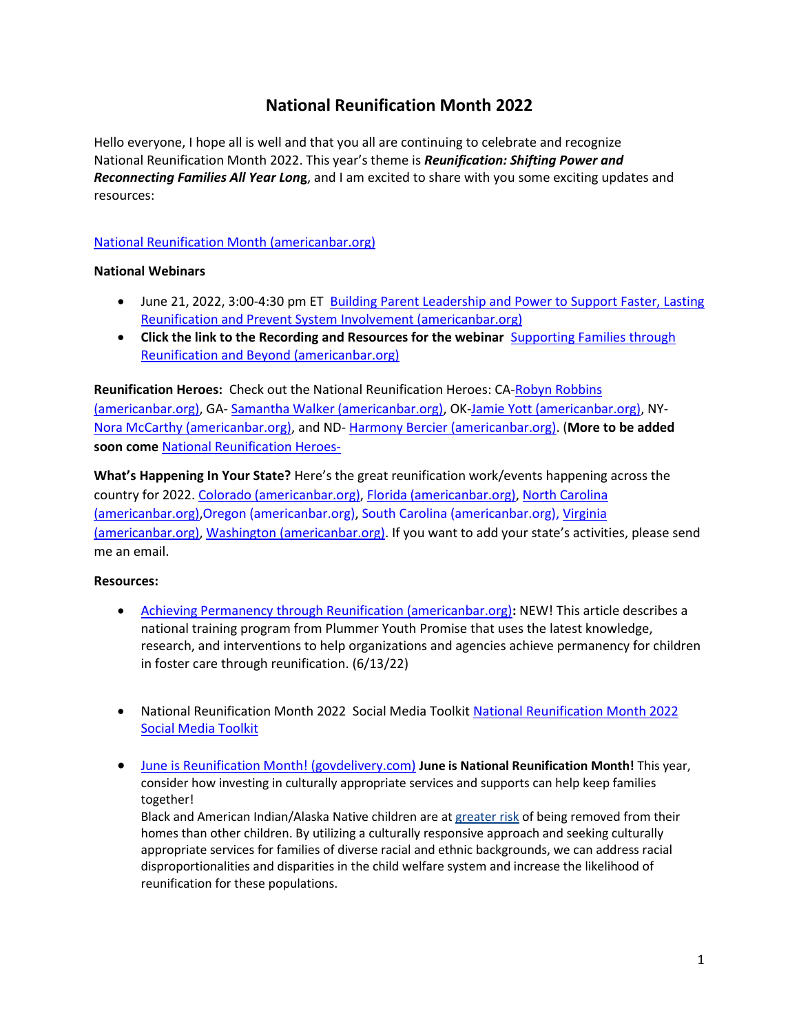# **National Reunification Month 2022**

Hello everyone, I hope all is well and that you all are continuing to celebrate and recognize National Reunification Month 2022. This year's theme is *Reunification: Shifting Power and Reconnecting Families All Year Lon***g**, and I am excited to share with you some exciting updates and resources:

## [National Reunification Month \(americanbar.org\)](https://www.americanbar.org/groups/public_interest/child_law/project-areas/national-reunification-month/#:~:text=National%20Reunification%20Month%20Celebrated%20in%20June%20each%20year%2C,who%20are%20passionate%20about%20helping%20families%20stay%20together)

### **National Webinars**

- June 21, 2022, 3:00-4:30 pm ET Building Parent Leadership and Power to Support Faster, Lasting [Reunification and Prevent System Involvement \(americanbar.org\)](https://www.americanbar.org/groups/public_interest/child_law/project-areas/national-reunification-month/reunification-month-webinar-2/)
- Click the link to the Recording and Resources for the webinar **Supporting Families through** [Reunification and Beyond](https://www.americanbar.org/groups/public_interest/child_law/project-areas/national-reunification-month/supporting-families-through-reunification/) (americanbar.org)

**Reunification Heroes:** Check out the National Reunification Heroes: CA[-Robyn Robbins](https://www.americanbar.org/content/dam/aba/administrative/child_law/robyn-robbins.pdf)  [\(americanbar.org\),](https://www.americanbar.org/content/dam/aba/administrative/child_law/robyn-robbins.pdf) GA- [Samantha Walker \(americanbar.org\),](https://www.americanbar.org/content/dam/aba/administrative/child_law/samantha-walker.pdf) OK[-Jamie Yott \(americanbar.org\),](https://www.americanbar.org/content/dam/aba/administrative/child_law/jamie-yott.pdf) NY-[Nora McCarthy \(americanbar.org\),](https://www.americanbar.org/content/dam/aba/administrative/child_law/nora-mccarthy.pdf) and ND- [Harmony Bercier \(americanbar.org\).](https://www.americanbar.org/content/dam/aba/administrative/child_law/harmony-bercier.pdf) (**More to be added soon come** [National Reunification Heroes-](https://www.americanbar.org/groups/public_interest/child_law/project-areas/national-reunification-month/)

**What's Happening In Your State?** Here's the great reunification work/events happening across the country for 2022. [Colorado \(americanbar.org\),](https://www.americanbar.org/groups/public_interest/child_law/project-areas/national-reunification-month/colorado/) [Florida \(americanbar.org\),](https://www.americanbar.org/groups/public_interest/child_law/project-areas/national-reunification-month/florida/) [North Carolina](https://www.americanbar.org/groups/public_interest/child_law/project-areas/national-reunification-month/north-carolina/)  [\(americanbar.org\)](https://www.americanbar.org/groups/public_interest/child_law/project-areas/national-reunification-month/north-carolina/)[,Oregon \(americanbar.org\),](https://www.americanbar.org/groups/public_interest/child_law/project-areas/national-reunification-month/oregon/) [South Carolina \(americanbar.org\),](https://www.americanbar.org/groups/public_interest/child_law/project-areas/national-reunification-month/south-carolina/) [Virginia](https://www.americanbar.org/groups/public_interest/child_law/project-areas/national-reunification-month/virginia/)  [\(americanbar.org\),](https://www.americanbar.org/groups/public_interest/child_law/project-areas/national-reunification-month/virginia/) [Washington \(americanbar.org\).](https://www.americanbar.org/groups/public_interest/child_law/project-areas/national-reunification-month/washington/) If you want to add your state's activities, please send me an email.

### **Resources:**

- [Achieving Permanency through Reunification \(americanbar.org\)](https://www.americanbar.org/content/dam/aba/administrative/child_law/plummer-reunification-training.pdf)**:** NEW! This article describes a national training program from Plummer Youth Promise that uses the latest knowledge, research, and interventions to help organizations and agencies achieve permanency for children in foster care through reunification. (6/13/22)
- National Reunification Month 2022 Social Media Toolki[t National Reunification Month 2022](https://docs.google.com/document/d/1HyGjPqvSqbA4L_y6cUMPCRrWXGPnIk1R-ZD6EFEEa2g/edit)  [Social Media Toolkit](https://docs.google.com/document/d/1HyGjPqvSqbA4L_y6cUMPCRrWXGPnIk1R-ZD6EFEEa2g/edit)
- [June is Reunification Month! \(govdelivery.com\)](https://content.govdelivery.com/accounts/USACFCWIG/bulletins/31a30c8?reqfrom=share) **June is National Reunification Month!** This year, consider how investing in culturally appropriate services and supports can help keep families together!

Black and American Indian/Alaska Native children are at [greater risk](https://gcc02.safelinks.protection.outlook.com/?url=https%3A%2F%2Flnks.gd%2Fl%2FeyJhbGciOiJIUzI1NiJ9.eyJidWxsZXRpbl9saW5rX2lkIjoxMDMsInVyaSI6ImJwMjpjbGljayIsImJ1bGxldGluX2lkIjoiMjAyMjA2MDEuNTg3MzIxNDEiLCJ1cmwiOiJodHRwczovL3d3dy5jaGlsZHdlbGZhcmUuZ292L3B1YnMvaXNzdWUtYnJpZWZzL3JhY2lhbC1kaXNwcm9wb3J0aW9uYWxpdHkvP3V0bV9tZWRpdW09ZW1haWwmdXRtX3NvdXJjZT1yZXVuaWZ5bW9udGhDQjA2MDEyMiJ9.DuPllq7WxHMDR_cHCLXj4fkIRySU6NaoL3Caa8f9Owk%2Fs%2F1100943109%2Fbr%2F132205024817-l&data=05%7C01%7CScott.Trowbridge%40acf.hhs.gov%7Caddeb422188c4013282c08da43d58ce7%7Cd58addea50534a808499ba4d944910df%7C0%7C0%7C637896881882240654%7CUnknown%7CTWFpbGZsb3d8eyJWIjoiMC4wLjAwMDAiLCJQIjoiV2luMzIiLCJBTiI6Ik1haWwiLCJXVCI6Mn0%3D%7C3000%7C%7C%7C&sdata=vbaqTbm1P5edoxISBSheykmePuybGqsQP%2B3Fige%2BB80%3D&reserved=0) of being removed from their homes than other children. By utilizing a culturally responsive approach and seeking culturally appropriate services for families of diverse racial and ethnic backgrounds, we can address racial disproportionalities and disparities in the child welfare system and increase the likelihood of reunification for these populations.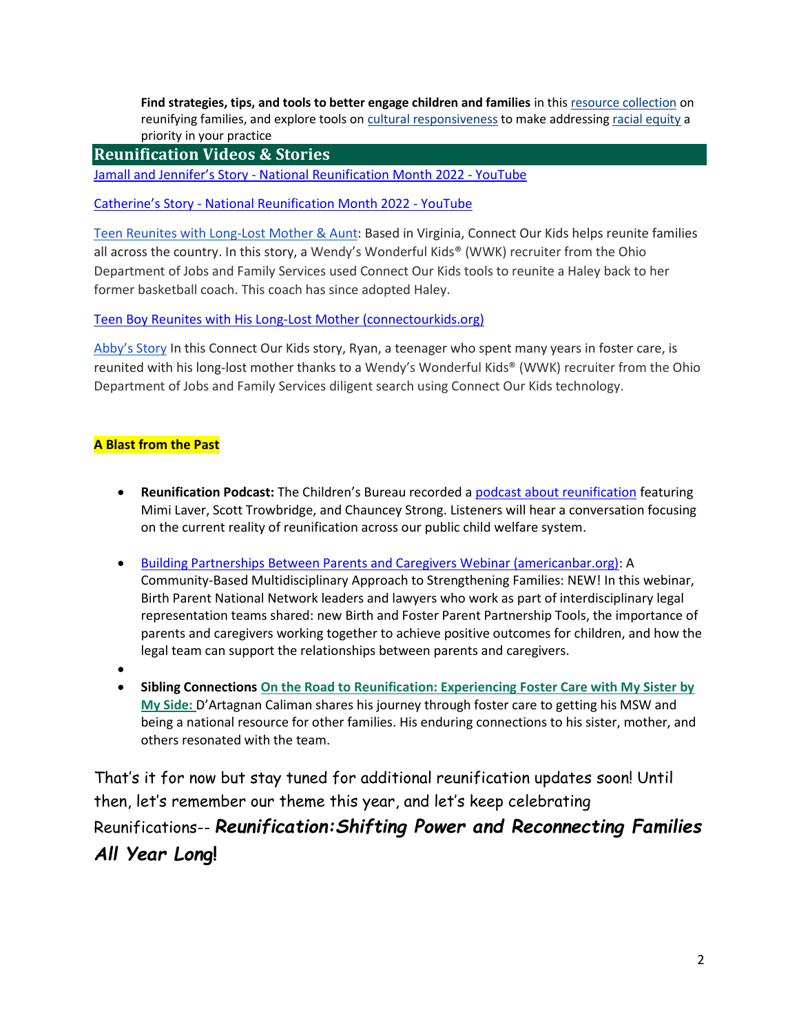**Find strategies, tips, and tools to better engage children and families** in thi[s resource collection](https://gcc02.safelinks.protection.outlook.com/?url=https%3A%2F%2Flnks.gd%2Fl%2FeyJhbGciOiJIUzI1NiJ9.eyJidWxsZXRpbl9saW5rX2lkIjoxMDQsInVyaSI6ImJwMjpjbGljayIsImJ1bGxldGluX2lkIjoiMjAyMjA2MDEuNTg3MzIxNDEiLCJ1cmwiOiJodHRwczovL3d3dy5jaGlsZHdlbGZhcmUuZ292L3RvcGljcy9wZXJtYW5lbmN5L3JldW5pZmljYXRpb24vP3V0bV9tZWRpdW09ZW1haWwmdXRtX3NvdXJjZT1yZXVuaWZ5bW9udGhDQjA2MDEyMiJ9.D5zBFTOgw3wGp_e1DknLGpI5kDXRzFJwF9Lue1q9-uo%2Fs%2F1100943109%2Fbr%2F132205024817-l&data=05%7C01%7CScott.Trowbridge%40acf.hhs.gov%7Caddeb422188c4013282c08da43d58ce7%7Cd58addea50534a808499ba4d944910df%7C0%7C0%7C637896881882240654%7CUnknown%7CTWFpbGZsb3d8eyJWIjoiMC4wLjAwMDAiLCJQIjoiV2luMzIiLCJBTiI6Ik1haWwiLCJXVCI6Mn0%3D%7C3000%7C%7C%7C&sdata=nhwf9PGXEleTl1ed5HcexvQjq1jw67MSZT%2BFA8AJiyk%3D&reserved=0) on reunifying families, and explore tools o[n cultural responsiveness](https://gcc02.safelinks.protection.outlook.com/?url=https%3A%2F%2Flnks.gd%2Fl%2FeyJhbGciOiJIUzI1NiJ9.eyJidWxsZXRpbl9saW5rX2lkIjoxMDUsInVyaSI6ImJwMjpjbGljayIsImJ1bGxldGluX2lkIjoiMjAyMjA2MDEuNTg3MzIxNDEiLCJ1cmwiOiJodHRwczovL3d3dy5jaGlsZHdlbGZhcmUuZ292L3RvcGljcy9zeXN0ZW13aWRlL2N1bHR1cmFsL291dG9maG9tZS8_dXRtX21lZGl1bT1lbWFpbCZ1dG1fc291cmNlPXJldW5pZnltb250aENCMDYwMTIyIn0.zOvFDpLbrg0m5pkmKQnUxsLnJIJITHkqlGuNTJnoX5A%2Fs%2F1100943109%2Fbr%2F132205024817-l&data=05%7C01%7CScott.Trowbridge%40acf.hhs.gov%7Caddeb422188c4013282c08da43d58ce7%7Cd58addea50534a808499ba4d944910df%7C0%7C0%7C637896881882240654%7CUnknown%7CTWFpbGZsb3d8eyJWIjoiMC4wLjAwMDAiLCJQIjoiV2luMzIiLCJBTiI6Ik1haWwiLCJXVCI6Mn0%3D%7C3000%7C%7C%7C&sdata=NT0GyVdnJRPoSZxSOUC%2BQyOmciu6m9Ui6XWwIVD7x6s%3D&reserved=0) to make addressin[g racial equity](https://gcc02.safelinks.protection.outlook.com/?url=https%3A%2F%2Flnks.gd%2Fl%2FeyJhbGciOiJIUzI1NiJ9.eyJidWxsZXRpbl9saW5rX2lkIjoxMDYsInVyaSI6ImJwMjpjbGljayIsImJ1bGxldGluX2lkIjoiMjAyMjA2MDEuNTg3MzIxNDEiLCJ1cmwiOiJodHRwczovL3d3dy5jaGlsZHdlbGZhcmUuZ292L3RvcGljcy9zeXN0ZW13aWRlL2RpdmVyc2UtcG9wdWxhdGlvbnMvP3V0bV9tZWRpdW09ZW1haWwmdXRtX3NvdXJjZT1yZXVuaWZ5bW9udGhDQjA2MDEyMiJ9.7rNGZeyXwTrLL8Eyu-HfgHqvDokr08TwahwbgSAaU2g%2Fs%2F1100943109%2Fbr%2F132205024817-l&data=05%7C01%7CScott.Trowbridge%40acf.hhs.gov%7Caddeb422188c4013282c08da43d58ce7%7Cd58addea50534a808499ba4d944910df%7C0%7C0%7C637896881882240654%7CUnknown%7CTWFpbGZsb3d8eyJWIjoiMC4wLjAwMDAiLCJQIjoiV2luMzIiLCJBTiI6Ik1haWwiLCJXVCI6Mn0%3D%7C3000%7C%7C%7C&sdata=bRNJYN%2FGlxGgzTrAe8GyiCPPY0MMY%2FFPXfeO3c%2BrK7E%3D&reserved=0) a priority in your practice

# **Reunification Videos & Stories**

Jamall and Jennifer's Story - [National Reunification Month 2022 -](https://www.youtube.com/watch?v=0SDACqQC0o0) YouTube

Catherine's Story - [National Reunification Month 2022 -](https://www.youtube.com/watch?v=rXGnZtmuwmA) YouTube

[Teen Reunites with Long-Lost Mother](https://www.connectourkids.org/blog/teen-reunites-with-long-lost-mom-aunt) & Aunt: Based in Virginia, Connect Our Kids helps reunite families all across the country. In this story, a Wendy's Wonderful Kids® (WWK) recruiter from the Ohio Department of Jobs and Family Services used Connect Our Kids tools to reunite a Haley back to her former basketball coach. This coach has since adopted Haley.

[Teen Boy Reunites with His Long-Lost Mother \(connectourkids.org\)](https://www.connectourkids.org/blog/teen-boy-reunites-with-his-long-lost-mother)

[Abby's Story](https://www.connectourkids.org/blog/abbys-story) In this Connect Our Kids story, Ryan, a teenager who spent many years in foster care, is reunited with his long-lost mother thanks to a Wendy's Wonderful Kids® (WWK) recruiter from the Ohio Department of Jobs and Family Services diligent search using Connect Our Kids technology.

## **A Blast from the Past**

- **Reunification Podcast:** The Children's Bureau recorded a [podcast about reunification](https://www.childwelfare.gov/more-tools-resources/podcast/episode-64/) featuring Mimi Laver, Scott Trowbridge, and Chauncey Strong. Listeners will hear a conversation focusing on the current reality of reunification across our public child welfare system.
- [Building Partnerships Between Parents and Caregivers Webinar \(americanbar.org\):](https://www.americanbar.org/groups/public_interest/child_law/project-areas/parentrepresentation/building-partnerships-between-parents-and-caregivers-webinar/) A Community-Based Multidisciplinary Approach to Strengthening Families: NEW! In this webinar, Birth Parent National Network leaders and lawyers who work as part of interdisciplinary legal representation teams shared: new Birth and Foster Parent Partnership Tools, the importance of parents and caregivers working together to achieve positive outcomes for children, and how the legal team can support the relationships between parents and caregivers.
- •
- **Sibling Connection[s On the Road to Reunification: Experiencing Foster Care with My Sister by](https://www.americanbar.org/content/dam/aba/administrative/child_law/road-to-reunification-story.pdf)  [My Side:](https://www.americanbar.org/content/dam/aba/administrative/child_law/road-to-reunification-story.pdf)** D'Artagnan Caliman shares his journey through foster care to getting his MSW and being a national resource for other families. His enduring connections to his sister, mother, and others resonated with the team.

That's it for now but stay tuned for additional reunification updates soon! Until then, let's remember our theme this year, and let's keep celebrating Reunifications-- *Reunification:Shifting Power and Reconnecting Families All Year Lon***g!**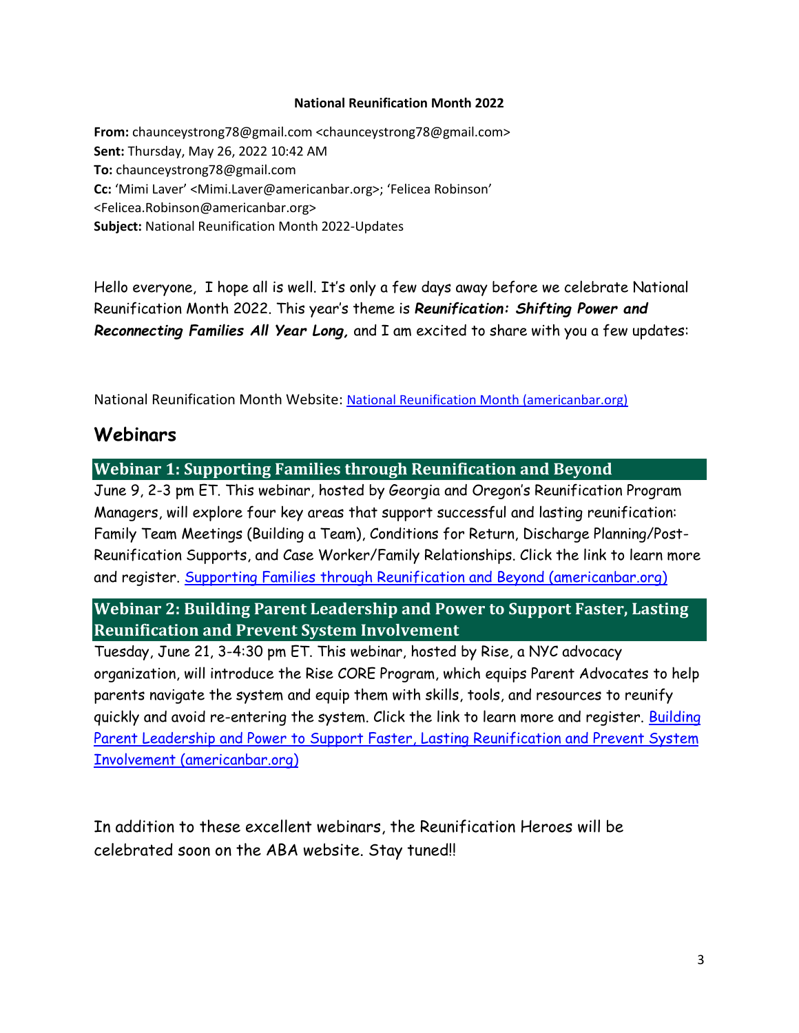### **National Reunification Month 2022**

**From:** chaunceystrong78@gmail.com <chaunceystrong78@gmail.com> **Sent:** Thursday, May 26, 2022 10:42 AM **To:** chaunceystrong78@gmail.com **Cc:** 'Mimi Laver' <Mimi.Laver@americanbar.org>; 'Felicea Robinson' <Felicea.Robinson@americanbar.org> **Subject:** National Reunification Month 2022-Updates

Hello everyone, I hope all is well. It's only a few days away before we celebrate National Reunification Month 2022. This year's theme is *Reunification: Shifting Power and Reconnecting Families All Year Long,* and I am excited to share with you a few updates:

National Reunification Month Website: [National Reunification Month \(americanbar.org\)](https://www.americanbar.org/groups/public_interest/child_law/project-areas/national-reunification-month/#:~:text=National%20Reunification%20Month%20Celebrated%20in%20June%20each%20year%2C,who%20are%20passionate%20about%20helping%20families%20stay%20together.)

# **Webinars**

# **Webinar 1: Supporting Families through Reunification and Beyond**

June 9, 2-3 pm ET. This webinar, hosted by Georgia and Oregon's Reunification Program Managers, will explore four key areas that support successful and lasting reunification: Family Team Meetings (Building a Team), Conditions for Return, Discharge Planning/Post-Reunification Supports, and Case Worker/Family Relationships. Click the link to learn more and register. [Supporting Families through Reunification and Beyond \(americanbar.org\)](https://www.americanbar.org/groups/public_interest/child_law/project-areas/national-reunification-month/webinars/)

# **Webinar 2: Building Parent Leadership and Power to Support Faster, Lasting Reunification and Prevent System Involvement**

Tuesday, June 21, 3-4:30 pm ET. This webinar, hosted by Rise, a NYC advocacy organization, will introduce the Rise CORE Program, which equips Parent Advocates to help parents navigate the system and equip them with skills, tools, and resources to reunify quickly and avoid re-entering the system. Click the link to learn more and register. Building [Parent Leadership and Power to Support Faster, Lasting Reunification and Prevent System](https://www.americanbar.org/groups/public_interest/child_law/project-areas/national-reunification-month/reunification-month-webinar-2/)  [Involvement \(americanbar.org\)](https://www.americanbar.org/groups/public_interest/child_law/project-areas/national-reunification-month/reunification-month-webinar-2/)

In addition to these excellent webinars, the Reunification Heroes will be celebrated soon on the ABA website. Stay tuned!!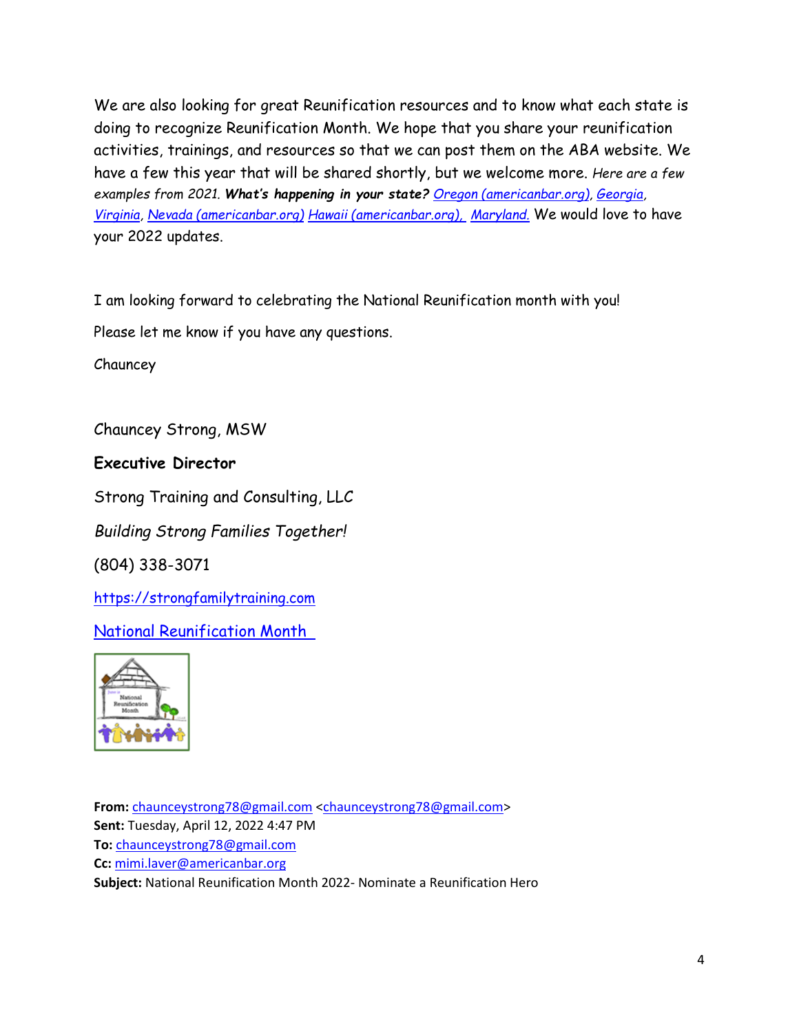We are also looking for great Reunification resources and to know what each state is doing to recognize Reunification Month. We hope that you share your reunification activities, trainings, and resources so that we can post them on the ABA website. We have a few this year that will be shared shortly, but we welcome more. *Here are a few examples from 2021. What's happening in your state? [Oregon \(americanbar.org\),](https://www.americanbar.org/groups/public_interest/child_law/project-areas/national-reunification-month/oregon/) [Georgia,](https://www.americanbar.org/groups/public_interest/child_law/project-areas/national-reunification-month/georgia/) [Virginia,](https://www.americanbar.org/groups/public_interest/child_law/project-areas/national-reunification-month/virginia/) [Nevada \(americanbar.org\)](https://www.americanbar.org/groups/public_interest/child_law/project-areas/national-reunification-month/nevada/) [Hawaii \(americanbar.org\),](https://www.americanbar.org/groups/public_interest/child_law/project-areas/national-reunification-month/hawaii/?q=&fq=(id%3A%5C%2Fcontent%2Faba-cms-dotorg%2Fen%2Fgroups%2Fpublic_interest%2Fchild_law%2F*)&wt=json&start=0) [Maryland.](https://www.americanbar.org/groups/public_interest/child_law/project-areas/national-reunification-month/maryland/)* We would love to have your 2022 updates.

I am looking forward to celebrating the National Reunification month with you!

Please let me know if you have any questions.

Chauncey

Chauncey Strong, MSW

**Executive Director**

Strong Training and Consulting, LLC

*Building Strong Families Together!*

(804) 338-3071

[https://strongfamilytraining.com](https://gcc02.safelinks.protection.outlook.com/?url=https%3A%2F%2Fstrongfamilytraining.com%2F&data=04%7C01%7CSamantha.Walker%40dhs.ga.gov%7C63ada1b830e1413fd43708d8da6990f9%7C512da10d071b4b948abc9ec4044d1516%7C0%7C0%7C637499494225255279%7CUnknown%7CTWFpbGZsb3d8eyJWIjoiMC4wLjAwMDAiLCJQIjoiV2luMzIiLCJBTiI6Ik1haWwiLCJXVCI6Mn0%3D%7C1000&sdata=W%2FsM6HpYpxXI%2FyEEu4w2zu4ONfpoILQg9LhRpiRPWWc%3D&reserved=0)

[National Reunification Month](https://www.americanbar.org/groups/public_interest/child_law/project-areas/national-reunification-month/) 



**From:** [chaunceystrong78@gmail.com](mailto:chaunceystrong78@gmail.com) [<chaunceystrong78@gmail.com>](mailto:chaunceystrong78@gmail.com) **Sent:** Tuesday, April 12, 2022 4:47 PM **To:** [chaunceystrong78@gmail.com](mailto:chaunceystrong78@gmail.com) **Cc:** [mimi.laver@americanbar.org](mailto:mimi.laver@americanbar.org) **Subject:** National Reunification Month 2022- Nominate a Reunification Hero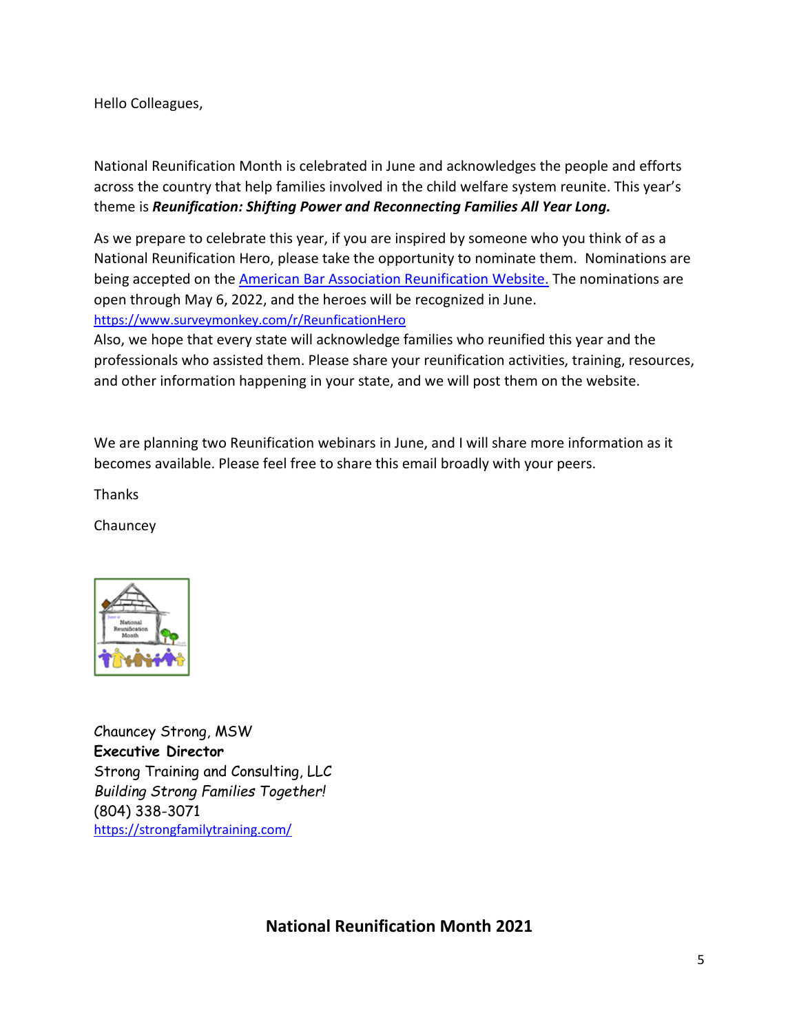Hello Colleagues,

National Reunification Month is celebrated in June and acknowledges the people and efforts across the country that help families involved in the child welfare system reunite. This year's theme is *Reunification: Shifting Power and Reconnecting Families All Year Long.*

As we prepare to celebrate this year, if you are inspired by someone who you think of as a National Reunification Hero, please take the opportunity to nominate them. Nominations are being accepted on the **American Bar Association Reunification Website**. The nominations are open through May 6, 2022, and the heroes will be recognized in June. <https://www.surveymonkey.com/r/ReunficationHero>

Also, we hope that every state will acknowledge families who reunified this year and the professionals who assisted them. Please share your reunification activities, training, resources, and other information happening in your state, and we will post them on the website.

We are planning two Reunification webinars in June, and I will share more information as it becomes available. Please feel free to share this email broadly with your peers.

Thanks

**Chauncey** 



Chauncey Strong, MSW **Executive Director** Strong Training and Consulting, LLC *Building Strong Families Together!* (804) 338-3071 <https://strongfamilytraining.com/>

**National Reunification Month 2021**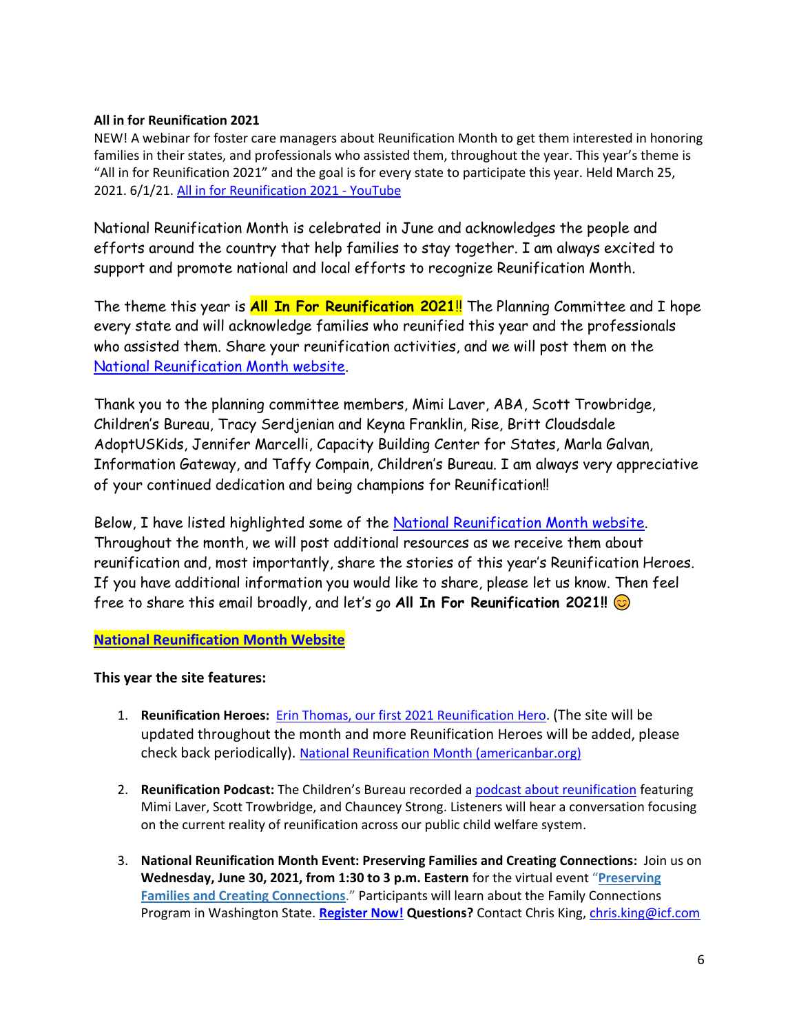### **All in for Reunification 2021**

NEW! A webinar for foster care managers about Reunification Month to get them interested in honoring families in their states, and professionals who assisted them, throughout the year. This year's theme is "All in for Reunification 2021" and the goal is for every state to participate this year. Held March 25, 2021. 6/1/21[. All in for Reunification 2021 -](https://www.youtube.com/watch?v=aIa0SgUF6jE) YouTube

National Reunification Month is celebrated in June and acknowledges the people and efforts around the country that help families to stay together. I am always excited to support and promote national and local efforts to recognize Reunification Month.

The theme this year is **All In For Reunification 2021**!! The Planning Committee and I hope every state and will acknowledge families who reunified this year and the professionals who assisted them. Share your reunification activities, and we will post them on the [National Reunification Month website.](https://www.americanbar.org/groups/public_interest/child_law/project-areas/national-reunification-month/)

Thank you to the planning committee members, Mimi Laver, ABA, Scott Trowbridge, Children's Bureau, Tracy Serdjenian and Keyna Franklin, Rise, Britt Cloudsdale AdoptUSKids, Jennifer Marcelli, Capacity Building Center for States, Marla Galvan, Information Gateway, and Taffy Compain, Children's Bureau. I am always very appreciative of your continued dedication and being champions for Reunification!!

Below, I have listed highlighted some of the [National Reunification Month website.](https://www.americanbar.org/groups/public_interest/child_law/project-areas/national-reunification-month/) Throughout the month, we will post additional resources as we receive them about reunification and, most importantly, share the stories of this year's Reunification Heroes. If you have additional information you would like to share, please let us know. Then feel free to share this email broadly, and let's go **All In For Reunification 2021!!**

## **[National Reunification Month Website](https://www.americanbar.org/groups/public_interest/child_law/project-areas/national-reunification-month/)**

## **This year the site features:**

- 1. **Reunification Heroes:** [Erin Thomas, our first 2021 Reunification Hero.](https://www.americanbar.org/content/dam/aba/administrative/child_law/erin-thomas-hero.pdf) (The site will be updated throughout the month and more Reunification Heroes will be added, please check back periodically). [National Reunification Month \(americanbar.org\)](https://www.americanbar.org/groups/public_interest/child_law/project-areas/national-reunification-month/)
- 2. **Reunification Podcast:** The Children's Bureau recorded a [podcast about reunification](https://www.childwelfare.gov/more-tools-resources/podcast/episode-64/) featuring Mimi Laver, Scott Trowbridge, and Chauncey Strong. Listeners will hear a conversation focusing on the current reality of reunification across our public child welfare system.
- 3. **National Reunification Month Event: Preserving Families and Creating Connections:** Join us on **Wednesday, June 30, 2021, from 1:30 to 3 p.m. Eastern** for the virtual event "**[Preserving](https://lnks.gd/l/eyJhbGciOiJIUzI1NiJ9.eyJidWxsZXRpbl9saW5rX2lkIjoxMDUsInVyaSI6ImJwMjpjbGljayIsImJ1bGxldGluX2lkIjoiMjAyMTA2MDcuNDE1Nzc2NDEiLCJ1cmwiOiJodHRwczovL2NhcGFjaXR5YnVpbGRpbmcuYWRvYmVjb25uZWN0LmNvbS9ucm1fMjAyMWV2ZW50L2V2ZW50L3JlZ2lzdHJhdGlvbi5odG1sP3V0bV9tZWRpdW09ZW1haWwmdXRtX3NvdXJjZT1yZXVuaWZpY2F0aW9ucmEwNjA3MjEifQ.22AYsw5X3VLd6TkL_r4FGEte1L0qJ_s07tefWw65vq4/s/948067031/br/107536071048-l)  [Families and Creating Connections](https://lnks.gd/l/eyJhbGciOiJIUzI1NiJ9.eyJidWxsZXRpbl9saW5rX2lkIjoxMDUsInVyaSI6ImJwMjpjbGljayIsImJ1bGxldGluX2lkIjoiMjAyMTA2MDcuNDE1Nzc2NDEiLCJ1cmwiOiJodHRwczovL2NhcGFjaXR5YnVpbGRpbmcuYWRvYmVjb25uZWN0LmNvbS9ucm1fMjAyMWV2ZW50L2V2ZW50L3JlZ2lzdHJhdGlvbi5odG1sP3V0bV9tZWRpdW09ZW1haWwmdXRtX3NvdXJjZT1yZXVuaWZpY2F0aW9ucmEwNjA3MjEifQ.22AYsw5X3VLd6TkL_r4FGEte1L0qJ_s07tefWw65vq4/s/948067031/br/107536071048-l)**." Participants will learn about the Family Connections Program in Washington State. **[Register Now!](https://lnks.gd/l/eyJhbGciOiJIUzI1NiJ9.eyJidWxsZXRpbl9saW5rX2lkIjoxMDYsInVyaSI6ImJwMjpjbGljayIsImJ1bGxldGluX2lkIjoiMjAyMTA2MDcuNDE1Nzc2NDEiLCJ1cmwiOiJodHRwczovL2NhcGFjaXR5YnVpbGRpbmcuYWRvYmVjb25uZWN0LmNvbS9ucm1fMjAyMWV2ZW50L2V2ZW50L3JlZ2lzdHJhdGlvbi5odG1sP3V0bV9tZWRpdW09ZW1haWwmdXRtX3NvdXJjZT1yZXVuaWZpY2F0aW9ucmEwNjA3MjEifQ.ytDk42SkhJkJgJLX81w77STVXszY8ONLu7i6WpyBK4k/s/948067031/br/107536071048-l) Questions?** Contact Chris King, [chris.king@icf.com](mailto:chris.king@icf.com)